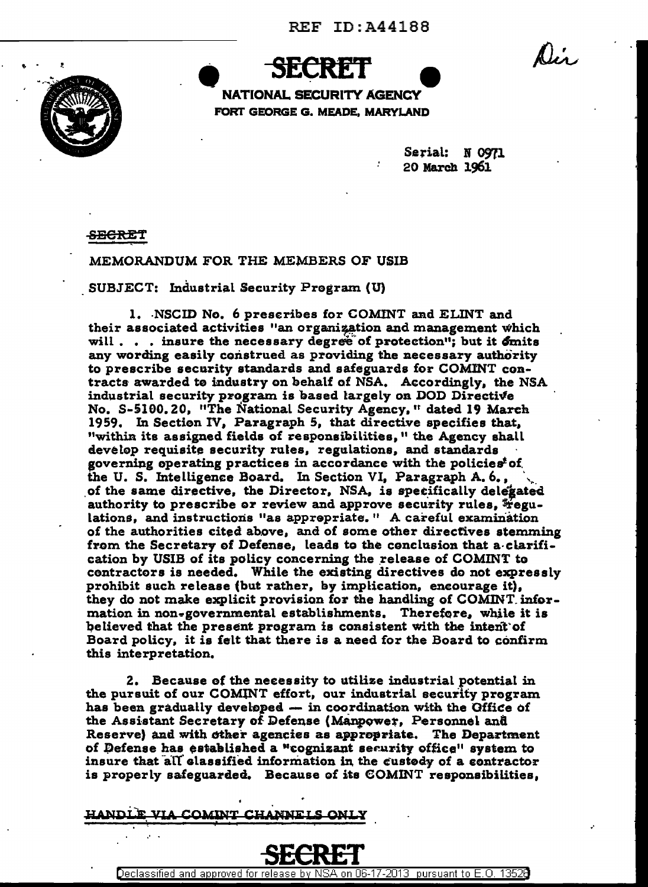Dis.



NATIONAL SECURITY AGENCY FORT GEORGE G. MEADE, MARYLAND

> Serial: N 0971 20 March 1961

<del>SECRE</del>T

MEMORANDUM FOR THE MEMBERS OF USIB

SUBJECT: Industrial Security Program (U)

1. NSCID No. 6 prescribes for COMINT and ELINT and their associated activities "an organization and management which will . . . insure the necessary degree of protection"; but it  $\delta$ mits any wording easily construed as providing the necessary authority to prescribe security standards and safeguards for COMINT contracts awarded to industry on behalf of NSA. Accordingly, the NSA industrial security program is based largely on DOD Directive No. S-5100.20, "The National Security Agency," dated 19 March 1959. In Section IV, Paragraph 5, that directive specifies that, "within its assigned fields of responsibilities," the Agency shall develop requisite security rules, regulations, and standards governing operating practices in accordance with the policies<sup>t</sup> of the U.S. Intelligence Board. In Section VI. Paragraph A.6., of the same directive, the Director, NSA, is specifically delegated authority to prescribe or review and approve security rules, Fegulations, and instructions "as apprepriate." A careful examination of the authorities cited above, and of some other directives stemming from the Secretary of Defense, leads to the conclusion that a clarification by USIB of its policy concerning the release of COMINT to contractors is needed. While the existing directives do not expressly prohibit such release (but rather, by implication, encourage it), they do not make explicit provision for the handling of COMINT information in non-governmental establishments. Therefore, while it is believed that the present program is consistent with the intent of Board policy, it is felt that there is a need for the Board to confirm this interpretation.

2. Because of the necessity to utilize industrial potential in the pursuit of our COMINT effort, our industrial security program has been gradually developed - in coordination with the Office of the Assistant Secretary of Defense (Manpower, Personnel and Reserve) and with other agencies as appropriate. The Department of Defense has established a "cognizant security office" system to insure that all classified information in the custody of a contractor is properly safeguarded. Because of its COMINT responsibilities,

NNET C HANDLE VIA COMINT



<u>06-17-2013 pursuant to E.O.</u> Declassified and approved for rele 1352A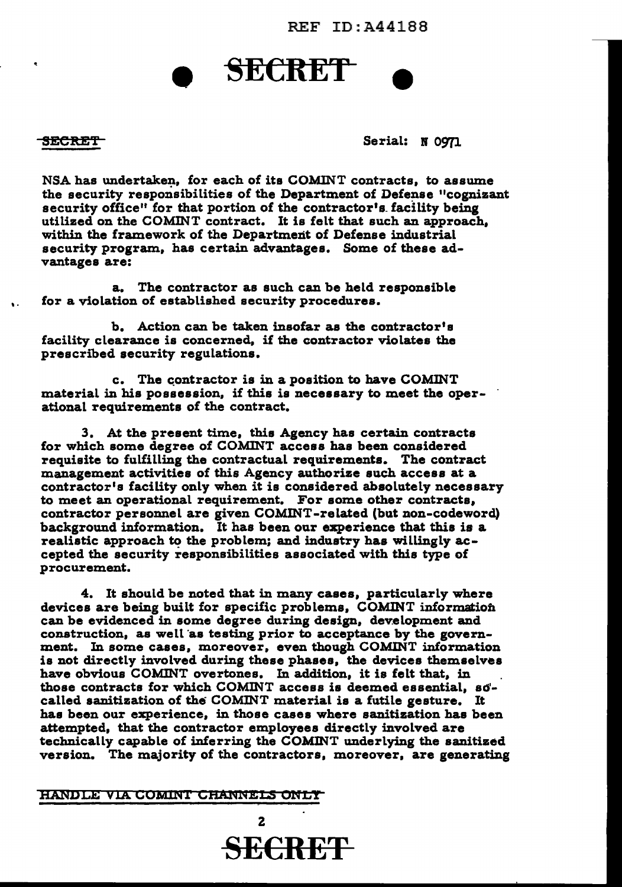REF ID:A441BB

# **SECRET**

'.

SECRET Serial: N 0971

NSA has undertaken, for each of its COMINT contracts, to assume the security responsibilities of the Department of Defense "cognizant security office" for that portion of the contractor's facility being utilized on the COMINT contract. It is felt that such an approach, within the framework of the Department of Defense industrial security program, has certain advantages. Some of these advantages are:

a. The contractor as such can be held responsible for a violation of established security procedures.

b. Action can be taken insofar as the contractor's facility clearance is concerned, if the contractor violates the prescribed security regulations.

c. The contractor is in a position to have COMINT material in his possession, if this is necessary to meet the operational requirements of the contract.

3. At the present time, this Agency has certain contracts for which some degree of COMINT access has been considered requisite to fulfilling the contractual requirements. The contract management activities of this Agency authorize such access at a contractor's facility only when it is considered absolutely necessary to meet an operational requirement. For some other contracts, contractor personnel are given COMINT-related (but non-codeword) background information. It has been our experience that this is a realistic approach to the problem; and industry has willingly accepted the security responsibilities associated with this type of procurement.

4. It should be noted that in many cases, particularly where devices are being built for specific problems, COMINT information can be evidenced in some degree during design, development and construction, as well as testing prior to acceptance by the government. In some cases, moreover, even though COMINT information is not directly involved during these phases, the devices themselves have obvious COMINT overtones. In addition, it is felt that, in those contracts for which COMINT access is deemed essential, so' called sanitization of the COMINT material is a futile gesture. It has been our experience, in those cases where sanitization has been attempted, that the contractor employees directly involved are technically capable of inferring the COMINT underlying the sanitized version. The majority of the contractors, moreover, are generating

## HANDLE VIA COMINI CHANNELS ONLY

2 SECRET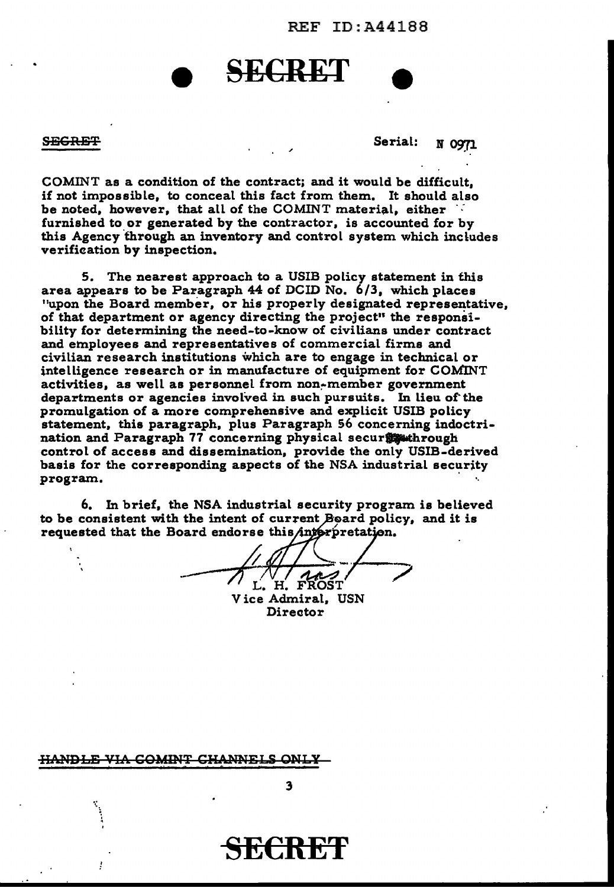REF ID:A441BB

## **SECRET**

SECRET MOTION CONTROL SECRET SECRET

COMINT as a condition of the contract; and it would be difficult, if not impossible, to conceal this fact from them. It should also be noted, however, that all of the COMINT material, either *·:*  furnished to or generated by the contractor, is accounted for by this Agency through an inventory and control system which includes verification by inspection.

5. The nearest approach to a USIB policy statement in this area appears to be Paragraph 44 of DCID No. 6/3, which places "upon the Board member, or his properly designated representative, of that department or agency directing the project" the responsibility for determining the need-to-know of civilians under contract and employees and representatives of commercial firms and civilian research institutions which are to engage in technical or intelligence research or in manufacture of equipment for COMINT activities, as well as personnel from non~member government departments or agencies involved in such pursuits. In lieu of the promulgation of a more comprehensive and explicit USIB policy statement, this paragraph, plus Paragraph 56 concerning indoctrination and Paragraph 77 concerning physical securry whrough control of access and dissemination, provide the only USIB-derived basis for the corresponding aspects of the NSA industrial security program.

6. In brief, the NSA industrial security program is believed to be consistent with the intent of current Board policy, and it is requested that the Board endorse this interpretation.

- ,-% ~ / ----:;?"'i. H. FROST . Vice Admiral, USN

Director

HANDLE VIA COMINT CHANNEI

SECRET